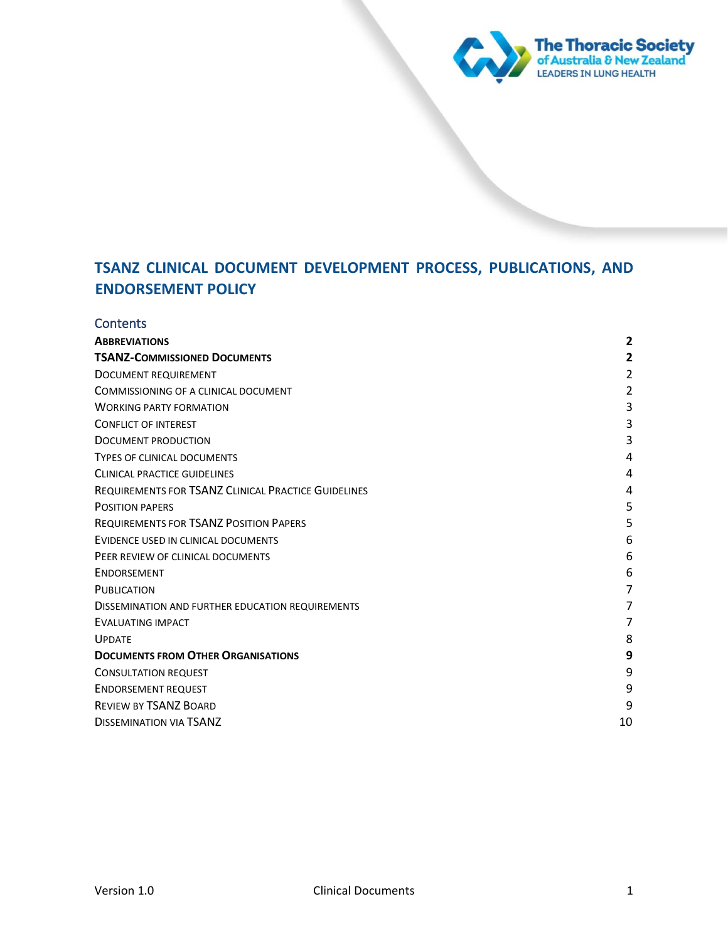

## **Contents**

| <b>ABBREVIATIONS</b>                                       | $\overline{\mathbf{c}}$ |
|------------------------------------------------------------|-------------------------|
| <b>TSANZ-COMMISSIONED DOCUMENTS</b>                        | 2                       |
| <b>DOCUMENT REQUIREMENT</b>                                | $\overline{2}$          |
| COMMISSIONING OF A CLINICAL DOCUMENT                       | $\overline{2}$          |
| <b>WORKING PARTY FORMATION</b>                             | 3                       |
| <b>CONFLICT OF INTEREST</b>                                | 3                       |
| DOCUMENT PRODUCTION                                        | 3                       |
| <b>TYPES OF CLINICAL DOCUMENTS</b>                         | 4                       |
| <b>CLINICAL PRACTICE GUIDELINES</b>                        | 4                       |
| <b>REQUIREMENTS FOR TSANZ CLINICAL PRACTICE GUIDELINES</b> | 4                       |
| <b>POSITION PAPERS</b>                                     | 5                       |
| <b>REQUIREMENTS FOR TSANZ POSITION PAPERS</b>              | 5                       |
| EVIDENCE USED IN CLINICAL DOCUMENTS                        | 6                       |
| PEER REVIEW OF CLINICAL DOCUMENTS                          | 6                       |
| ENDORSEMENT                                                | 6                       |
| <b>PUBLICATION</b>                                         | $\overline{7}$          |
| <b>DISSEMINATION AND FURTHER EDUCATION REQUIREMENTS</b>    | 7                       |
| <b>EVALUATING IMPACT</b>                                   | 7                       |
| <b>UPDATE</b>                                              | 8                       |
| <b>DOCUMENTS FROM OTHER ORGANISATIONS</b>                  | 9                       |
| <b>CONSULTATION REQUEST</b>                                | 9                       |
| <b>ENDORSEMENT REQUEST</b>                                 | 9                       |
| <b>REVIEW BY TSANZ BOARD</b>                               | 9                       |
| <b>DISSEMINATION VIA TSANZ</b>                             | 10                      |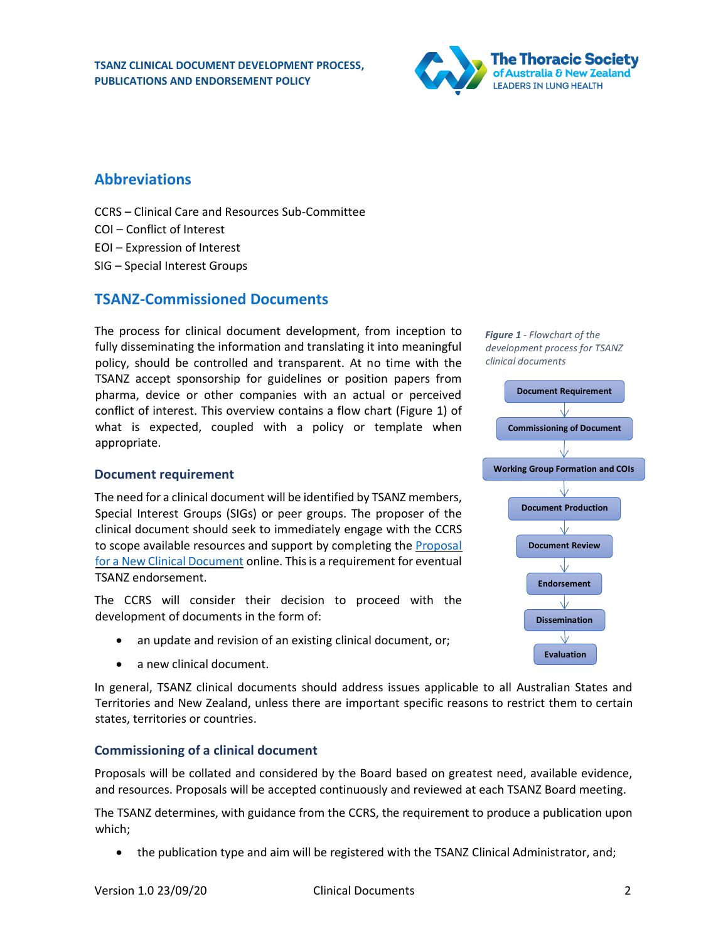

## <span id="page-1-0"></span>**Abbreviations**

- CCRS Clinical Care and Resources Sub-Committee
- COI Conflict of Interest
- EOI Expression of Interest
- SIG Special Interest Groups

## <span id="page-1-1"></span>**TSANZ-Commissioned Documents**

The process for clinical document development, from inception to fully disseminating the information and translating it into meaningful policy, should be controlled and transparent. At no time with the TSANZ accept sponsorship for guidelines or position papers from pharma, device or other companies with an actual or perceived conflict of interest. This overview contains a flow chart [\(Figure 1\)](#page-1-4) of what is expected, coupled with a policy or template when appropriate.

#### <span id="page-1-2"></span>**Document requirement**

The need for a clinical document will be identified by TSANZ members, Special Interest Groups (SIGs) or peer groups. The proposer of the clinical document should seek to immediately engage with the CCRS to scope available resources and support by completing th[e Proposal](https://www.thoracic.org.au/forms/command/display_form?formID=77)  [for a New Clinical Document](https://www.thoracic.org.au/forms/command/display_form?formID=77) online. This is a requirement for eventual TSANZ endorsement.

The CCRS will consider their decision to proceed with the development of documents in the form of:

- an update and revision of an existing clinical document, or;
- a new clinical document.

In general, TSANZ clinical documents should address issues applicable to all Australian States and Territories and New Zealand, unless there are important specific reasons to restrict them to certain states, territories or countries.

#### <span id="page-1-3"></span>**Commissioning of a clinical document**

Proposals will be collated and considered by the Board based on greatest need, available evidence, and resources. Proposals will be accepted continuously and reviewed at each TSANZ Board meeting.

The TSANZ determines, with guidance from the CCRS, the requirement to produce a publication upon which;

• the publication type and aim will be registered with the TSANZ Clinical Administrator, and;

<span id="page-1-4"></span>

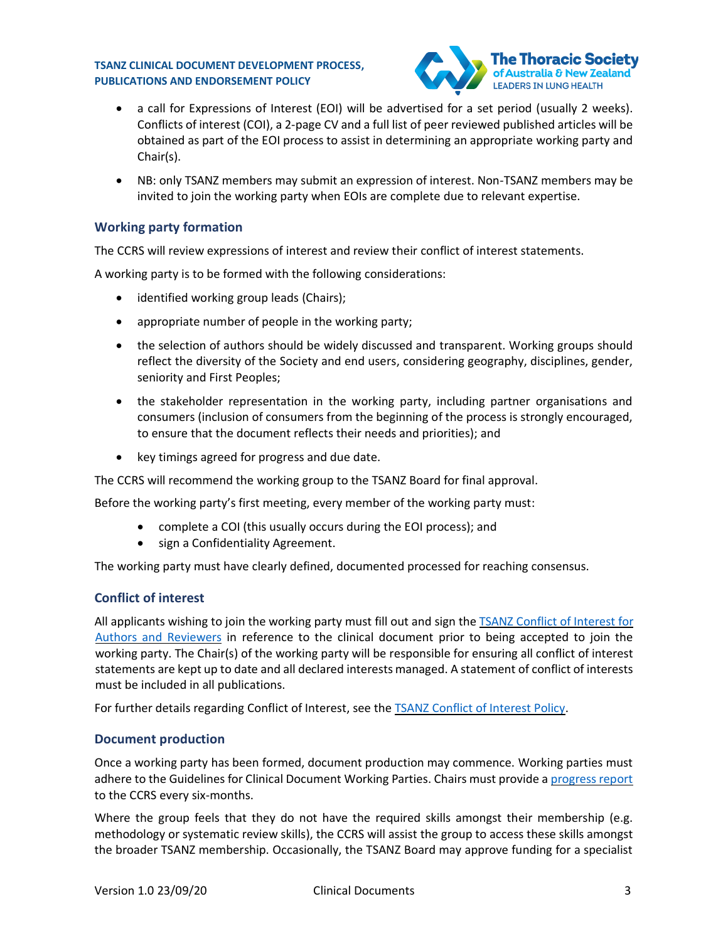

- a call for Expressions of Interest (EOI) will be advertised for a set period (usually 2 weeks). Conflicts of interest (COI), a 2-page CV and a full list of peer reviewed published articles will be obtained as part of the EOI process to assist in determining an appropriate working party and Chair(s).
- NB: only TSANZ members may submit an expression of interest. Non-TSANZ members may be invited to join the working party when EOIs are complete due to relevant expertise.

## <span id="page-2-0"></span>**Working party formation**

The CCRS will review expressions of interest and review their conflict of interest statements.

A working party is to be formed with the following considerations:

- identified working group leads (Chairs);
- appropriate number of people in the working party;
- the selection of authors should be widely discussed and transparent. Working groups should reflect the diversity of the Society and end users, considering geography, disciplines, gender, seniority and First Peoples;
- the stakeholder representation in the working party, including partner organisations and consumers (inclusion of consumers from the beginning of the process is strongly encouraged, to ensure that the document reflects their needs and priorities); and
- key timings agreed for progress and due date.

The CCRS will recommend the working group to the TSANZ Board for final approval.

Before the working party's first meeting, every member of the working party must:

- complete a COI (this usually occurs during the EOI process); and
- sign a Confidentiality Agreement.

The working party must have clearly defined, documented processed for reaching consensus.

#### <span id="page-2-1"></span>**Conflict of interest**

All applicants wishing to join the working party must fill out and sign th[e TSANZ Conflict](https://www.thoracic.org.au/documents/item/143) of Interest for [Authors and Reviewers](https://www.thoracic.org.au/documents/item/143) in reference to the clinical document prior to being accepted to join the working party. The Chair(s) of the working party will be responsible for ensuring all conflict of interest statements are kept up to date and all declared interests managed. A statement of conflict of interests must be included in all publications.

For further details regarding Conflict of Interest, see the [TSANZ Conflict of Interest Policy.](https://www.thoracic.org.au/documents/item/140)

#### <span id="page-2-2"></span>**Document production**

Once a working party has been formed, document production may commence. Working parties must adhere to the Guidelines for Clinical Document Working Parties. Chairs must provide [a progress report](https://www.thoracic.org.au/documents/item/455) to the CCRS every six-months.

Where the group feels that they do not have the required skills amongst their membership (e.g. methodology or systematic review skills), the CCRS will assist the group to access these skills amongst the broader TSANZ membership. Occasionally, the TSANZ Board may approve funding for a specialist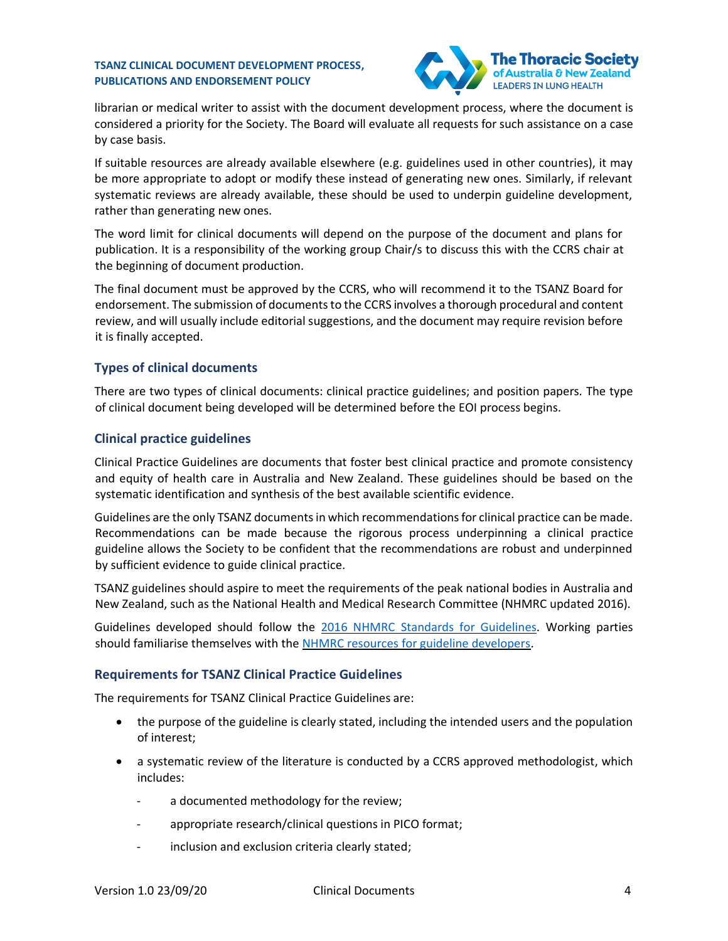

librarian or medical writer to assist with the document development process, where the document is considered a priority for the Society. The Board will evaluate all requests for such assistance on a case by case basis.

If suitable resources are already available elsewhere (e.g. guidelines used in other countries), it may be more appropriate to adopt or modify these instead of generating new ones. Similarly, if relevant systematic reviews are already available, these should be used to underpin guideline development, rather than generating new ones.

The word limit for clinical documents will depend on the purpose of the document and plans for publication. It is a responsibility of the working group Chair/s to discuss this with the CCRS chair at the beginning of document production.

The final document must be approved by the CCRS, who will recommend it to the TSANZ Board for endorsement. The submission of documents to the CCRS involves a thorough procedural and content review, and will usually include editorial suggestions, and the document may require revision before it is finally accepted.

## <span id="page-3-0"></span>**Types of clinical documents**

There are two types of clinical documents: clinical practice guidelines; and position papers. The type of clinical document being developed will be determined before the EOI process begins.

## <span id="page-3-1"></span>**Clinical practice guidelines**

Clinical Practice Guidelines are documents that foster best clinical practice and promote consistency and equity of health care in Australia and New Zealand. These guidelines should be based on the systematic identification and synthesis of the best available scientific evidence.

Guidelines are the only TSANZ documents in which recommendations for clinical practice can be made. Recommendations can be made because the rigorous process underpinning a clinical practice guideline allows the Society to be confident that the recommendations are robust and underpinned by sufficient evidence to guide clinical practice.

TSANZ guidelines should aspire to meet the requirements of the peak national bodies in Australia and New Zealand, such as the National Health and Medical Research Committee (NHMRC updated 2016).

Guidelines developed should follow the [2016 NHMRC Standards for Guidelines.](https://www.nhmrc.gov.au/guidelinesforguidelines/standards) Working parties should familiarise themselves with the [NHMRC resources for guideline developers.](https://www.nhmrc.gov.au/research-policy/guideline-development/resources-guideline-developers)

#### <span id="page-3-2"></span>**Requirements for TSANZ Clinical Practice Guidelines**

The requirements for TSANZ Clinical Practice Guidelines are:

- the purpose of the guideline is clearly stated, including the intended users and the population of interest;
- a systematic review of the literature is conducted by a CCRS approved methodologist, which includes:
	- a documented methodology for the review;
	- appropriate research/clinical questions in PICO format;
	- inclusion and exclusion criteria clearly stated;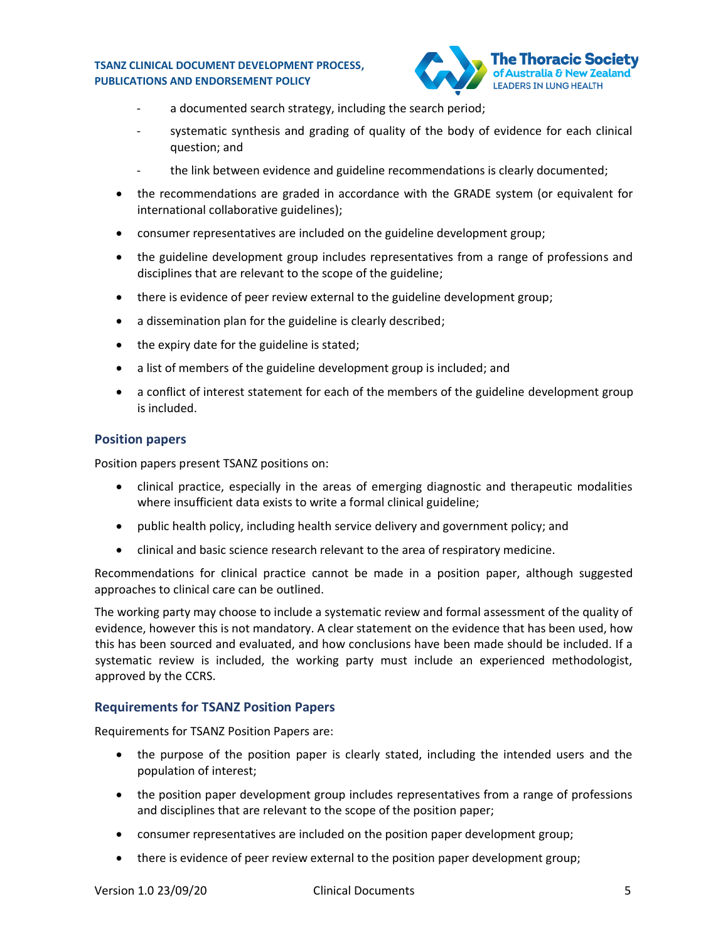

- a documented search strategy, including the search period;
- systematic synthesis and grading of quality of the body of evidence for each clinical question; and
- the link between evidence and guideline recommendations is clearly documented;
- the recommendations are graded in accordance with the GRADE system (or equivalent for international collaborative guidelines);
- consumer representatives are included on the guideline development group;
- the guideline development group includes representatives from a range of professions and disciplines that are relevant to the scope of the guideline;
- there is evidence of peer review external to the guideline development group;
- a dissemination plan for the guideline is clearly described;
- the expiry date for the guideline is stated;
- a list of members of the guideline development group is included; and
- a conflict of interest statement for each of the members of the guideline development group is included.

#### <span id="page-4-0"></span>**Position papers**

Position papers present TSANZ positions on:

- clinical practice, especially in the areas of emerging diagnostic and therapeutic modalities where insufficient data exists to write a formal clinical guideline;
- public health policy, including health service delivery and government policy; and
- clinical and basic science research relevant to the area of respiratory medicine.

Recommendations for clinical practice cannot be made in a position paper, although suggested approaches to clinical care can be outlined.

The working party may choose to include a systematic review and formal assessment of the quality of evidence, however this is not mandatory. A clear statement on the evidence that has been used, how this has been sourced and evaluated, and how conclusions have been made should be included. If a systematic review is included, the working party must include an experienced methodologist, approved by the CCRS.

#### <span id="page-4-1"></span>**Requirements for TSANZ Position Papers**

Requirements for TSANZ Position Papers are:

- the purpose of the position paper is clearly stated, including the intended users and the population of interest;
- the position paper development group includes representatives from a range of professions and disciplines that are relevant to the scope of the position paper;
- consumer representatives are included on the position paper development group;
- there is evidence of peer review external to the position paper development group;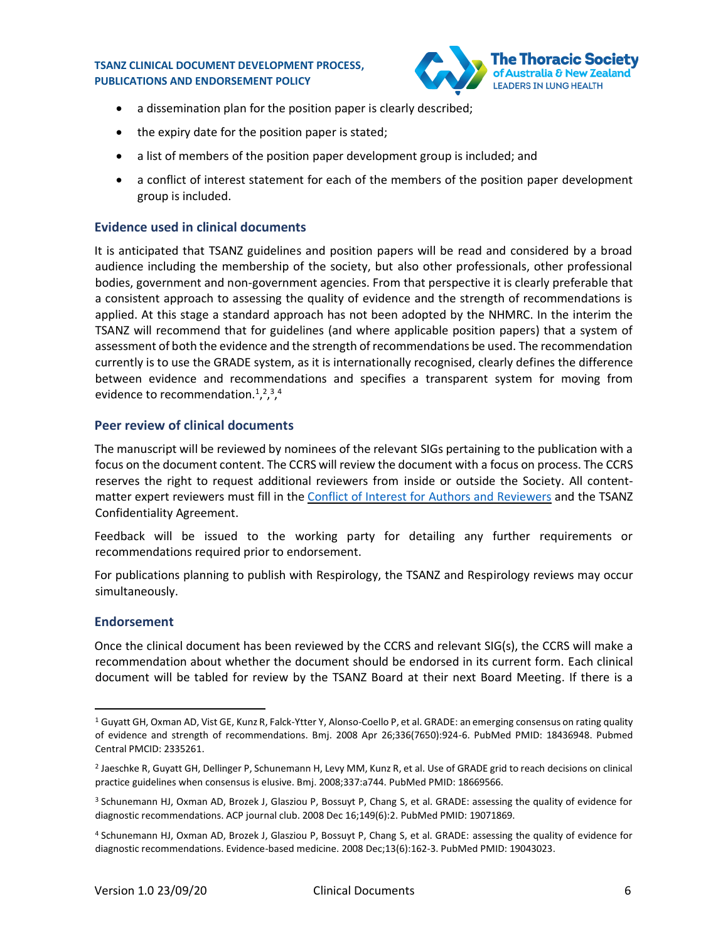

- a dissemination plan for the position paper is clearly described;
- the expiry date for the position paper is stated;
- a list of members of the position paper development group is included; and
- a conflict of interest statement for each of the members of the position paper development group is included.

#### <span id="page-5-0"></span>**Evidence used in clinical documents**

It is anticipated that TSANZ guidelines and position papers will be read and considered by a broad audience including the membership of the society, but also other professionals, other professional bodies, government and non-government agencies. From that perspective it is clearly preferable that a consistent approach to assessing the quality of evidence and the strength of recommendations is applied. At this stage a standard approach has not been adopted by the NHMRC. In the interim the TSANZ will recommend that for guidelines (and where applicable position papers) that a system of assessment of both the evidence and the strength of recommendations be used. The recommendation currently is to use the GRADE system, as it is internationally recognised, clearly defines the difference between evidence and recommendations and specifies a transparent system for moving from evidence to recommendation.<sup>1</sup>,<sup>2</sup>,<sup>3</sup>,<sup>4</sup>

#### <span id="page-5-1"></span>**Peer review of clinical documents**

The manuscript will be reviewed by nominees of the relevant SIGs pertaining to the publication with a focus on the document content. The CCRS will review the document with a focus on process. The CCRS reserves the right to request additional reviewers from inside or outside the Society. All contentmatter expert reviewers must fill in th[e Conflict of Interest for Authors and Reviewers](https://www.thoracic.org.au/documents/item/143) and the TSANZ Confidentiality Agreement.

Feedback will be issued to the working party for detailing any further requirements or recommendations required prior to endorsement.

For publications planning to publish with Respirology, the TSANZ and Respirology reviews may occur simultaneously.

#### <span id="page-5-2"></span>**Endorsement**

Once the clinical document has been reviewed by the CCRS and relevant SIG(s), the CCRS will make a recommendation about whether the document should be endorsed in its current form. Each clinical document will be tabled for review by the TSANZ Board at their next Board Meeting. If there is a

<sup>1</sup> Guyatt GH, Oxman AD, Vist GE, Kunz R, Falck-Ytter Y, Alonso-Coello P, et al. GRADE: an emerging consensus on rating quality of evidence and strength of recommendations. Bmj. 2008 Apr 26;336(7650):924-6. PubMed PMID: 18436948. Pubmed Central PMCID: 2335261.

<sup>2</sup> Jaeschke R, Guyatt GH, Dellinger P, Schunemann H, Levy MM, Kunz R, et al. Use of GRADE grid to reach decisions on clinical practice guidelines when consensus is elusive. Bmj. 2008;337:a744. PubMed PMID: 18669566.

<sup>3</sup> Schunemann HJ, Oxman AD, Brozek J, Glasziou P, Bossuyt P, Chang S, et al. GRADE: assessing the quality of evidence for diagnostic recommendations. ACP journal club. 2008 Dec 16;149(6):2. PubMed PMID: 19071869.

<sup>4</sup> Schunemann HJ, Oxman AD, Brozek J, Glasziou P, Bossuyt P, Chang S, et al. GRADE: assessing the quality of evidence for diagnostic recommendations. Evidence-based medicine. 2008 Dec;13(6):162-3. PubMed PMID: 19043023.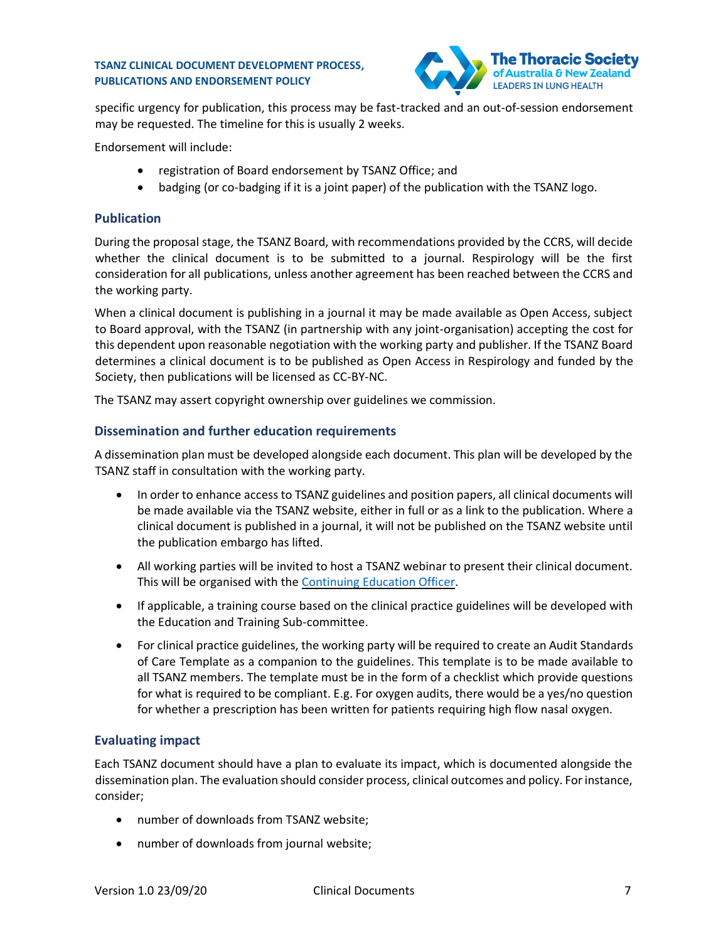

specific urgency for publication, this process may be fast-tracked and an out-of-session endorsement may be requested. The timeline for this is usually 2 weeks.

Endorsement will include:

- registration of Board endorsement by TSANZ Office; and
- badging (or co-badging if it is a joint paper) of the publication with the TSANZ logo.

#### <span id="page-6-0"></span>**Publication**

During the proposal stage, the TSANZ Board, with recommendations provided by the CCRS, will decide whether the clinical document is to be submitted to a journal. Respirology will be the first consideration for all publications, unless another agreement has been reached between the CCRS and the working party.

When a clinical document is publishing in a journal it may be made available as Open Access, subject to Board approval, with the TSANZ (in partnership with any joint-organisation) accepting the cost for this dependent upon reasonable negotiation with the working party and publisher. If the TSANZ Board determines a clinical document is to be published as Open Access in Respirology and funded by the Society, then publications will be licensed as CC-BY-NC.

The TSANZ may assert copyright ownership over guidelines we commission.

## <span id="page-6-1"></span>**Dissemination and further education requirements**

A dissemination plan must be developed alongside each document. This plan will be developed by the TSANZ staff in consultation with the working party.

- In order to enhance access to TSANZ guidelines and position papers, all clinical documents will be made available via the TSANZ website, either in full or as a link to the publication. Where a clinical document is published in a journal, it will not be published on the TSANZ website until the publication embargo has lifted.
- All working parties will be invited to host a TSANZ webinar to present their clinical document. This will be organised with the [Continuing Education Officer.](mailto:tsanzeducation@thoracic.org.au?subject=TSANZ%20Clinical%20Document%20webinar)
- If applicable, a training course based on the clinical practice guidelines will be developed with the Education and Training Sub-committee.
- For clinical practice guidelines, the working party will be required to create an Audit Standards of Care Template as a companion to the guidelines. This template is to be made available to all TSANZ members. The template must be in the form of a checklist which provide questions for what is required to be compliant. E.g. For oxygen audits, there would be a yes/no question for whether a prescription has been written for patients requiring high flow nasal oxygen.

## <span id="page-6-2"></span>**Evaluating impact**

Each TSANZ document should have a plan to evaluate its impact, which is documented alongside the dissemination plan. The evaluation should consider process, clinical outcomes and policy. For instance, consider;

- number of downloads from TSANZ website;
- number of downloads from journal website;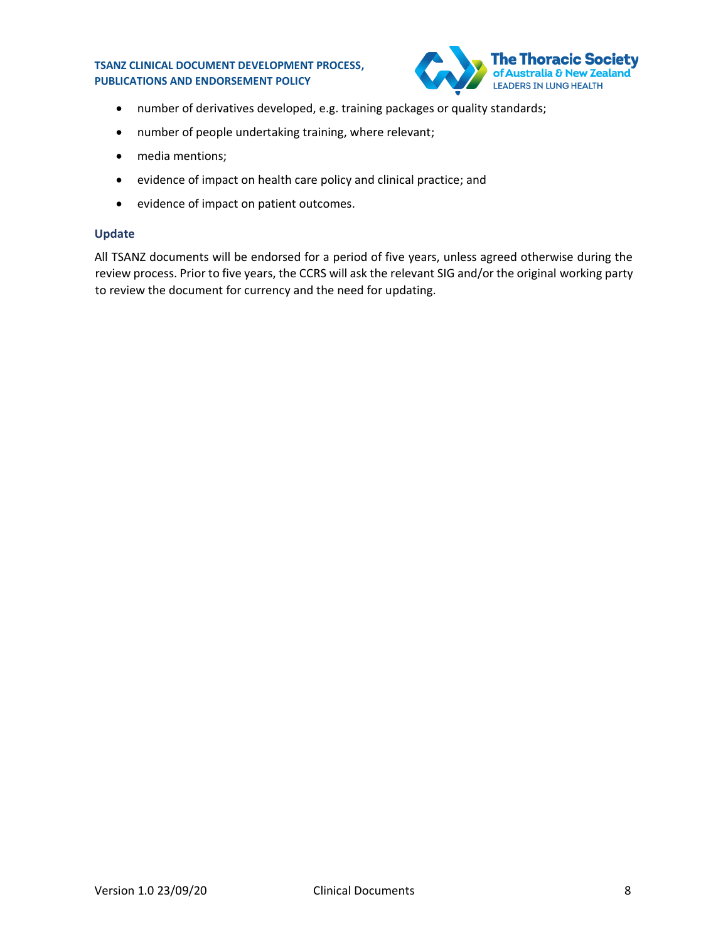

- number of derivatives developed, e.g. training packages or quality standards;
- number of people undertaking training, where relevant;
- media mentions;
- evidence of impact on health care policy and clinical practice; and
- evidence of impact on patient outcomes.

#### <span id="page-7-0"></span>**Update**

All TSANZ documents will be endorsed for a period of five years, unless agreed otherwise during the review process. Prior to five years, the CCRS will ask the relevant SIG and/or the original working party to review the document for currency and the need for updating.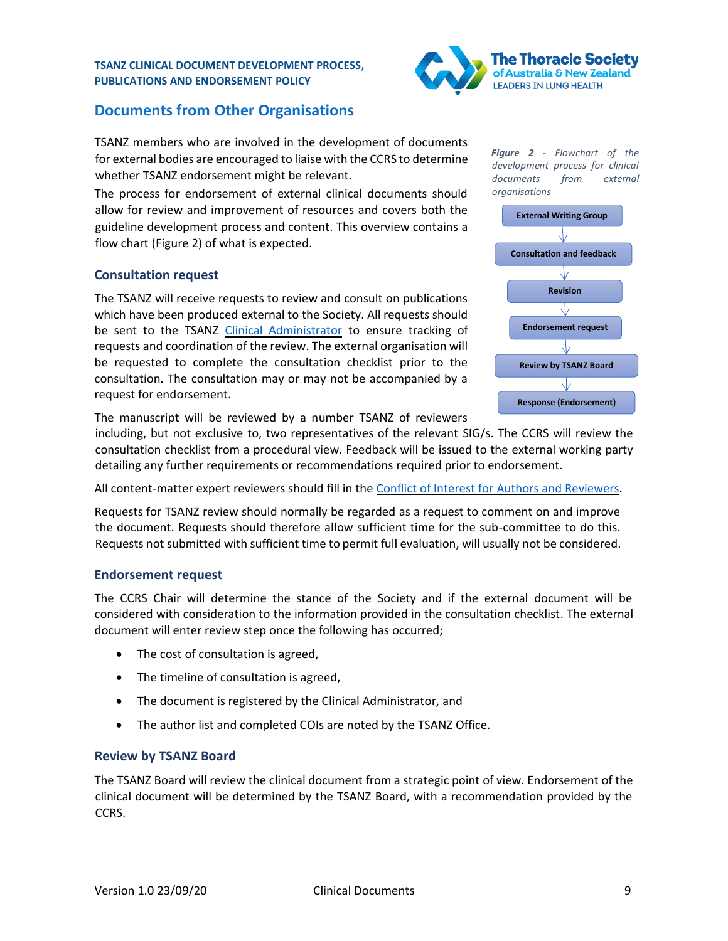

## <span id="page-8-0"></span>**Documents from Other Organisations**

TSANZ members who are involved in the development of documents for external bodies are encouraged to liaise with the CCRS to determine whether TSANZ endorsement might be relevant.

The process for endorsement of external clinical documents should allow for review and improvement of resources and covers both the guideline development process and content. This overview contains a flow chart [\(Figure 2\)](#page-8-4) of what is expected.

## <span id="page-8-1"></span>**Consultation request**

The TSANZ will receive requests to review and consult on publications which have been produced external to the Society. All requests should be sent to the TSANZ [Clinical Administrator](mailto:clinical@thoracic.org.au?subject=Endorsement%20request) to ensure tracking of requests and coordination of the review. The external organisation will be requested to complete the consultation checklist prior to the consultation. The consultation may or may not be accompanied by a request for endorsement.

The manuscript will be reviewed by a number TSANZ of reviewers

including, but not exclusive to, two representatives of the relevant SIG/s. The CCRS will review the consultation checklist from a procedural view. Feedback will be issued to the external working party detailing any further requirements or recommendations required prior to endorsement.

All content-matter expert reviewers should fill in the [Conflict of Interest for Authors and Reviewers.](https://www.thoracic.org.au/documents/item/143)

Requests for TSANZ review should normally be regarded as a request to comment on and improve the document. Requests should therefore allow sufficient time for the sub-committee to do this. Requests not submitted with sufficient time to permit full evaluation, will usually not be considered.

#### <span id="page-8-2"></span>**Endorsement request**

The CCRS Chair will determine the stance of the Society and if the external document will be considered with consideration to the information provided in the consultation checklist. The external document will enter review step once the following has occurred;

- The cost of consultation is agreed,
- The timeline of consultation is agreed,
- The document is registered by the Clinical Administrator, and
- The author list and completed COIs are noted by the TSANZ Office.

#### <span id="page-8-3"></span>**Review by TSANZ Board**

The TSANZ Board will review the clinical document from a strategic point of view. Endorsement of the clinical document will be determined by the TSANZ Board, with a recommendation provided by the CCRS.

<span id="page-8-4"></span>*Figure 2 - Flowchart of the development process for clinical documents from external organisations*